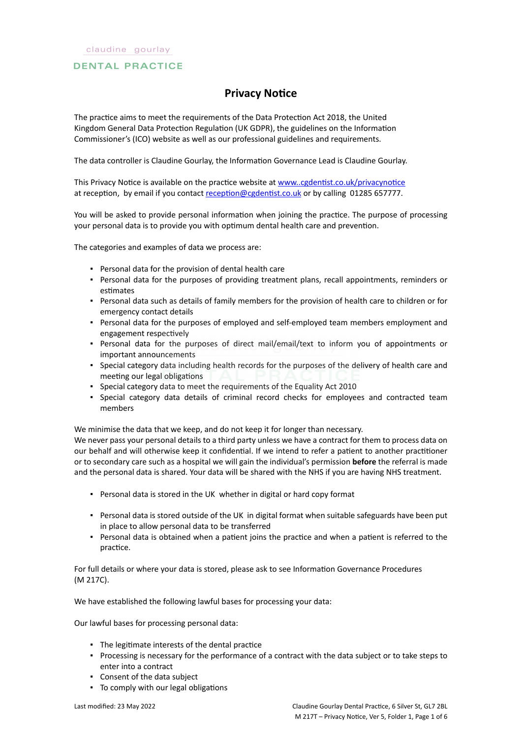# **DENTAL PRACTICE**

# **Privacy Notice**

The practice aims to meet the requirements of the Data Protection Act 2018, the United Kingdom General Data Protection Regulation (UK GDPR), the guidelines on the Information Commissioner's (ICO) website as well as our professional guidelines and requirements.

The data controller is Claudine Gourlay, the Information Governance Lead is Claudine Gourlay.

This Privacy Notice is available on the practice website at [www..cgdentist.co.uk/privacynotice](https://icomply.agiliosoftware.com/api/export/render/93b8113c-7c6c-4318-ae9d-4ed2c92a3666/www.practice.com/privacynotice) at reception, by email if you contact [reception@cgdentist.co.uk](mailto:reception@cgdentist.co.uk) or by calling 01285 657777.

You will be asked to provide personal information when joining the practice. The purpose of processing your personal data is to provide you with optimum dental health care and prevention.

The categories and examples of data we process are:

- Personal data for the provision of dental health care
- Personal data for the purposes of providing treatment plans, recall appointments, reminders or estimates
- Personal data such as details of family members for the provision of health care to children or for emergency contact details
- Personal data for the purposes of employed and self-employed team members employment and engagement respectively
- Personal data for the purposes of direct mail/email/text to inform you of appointments or important announcements
- Special category data including health records for the purposes of the delivery of health care and meeting our legal obligations
- Special category data to meet the requirements of the Equality Act 2010
- Special category data details of criminal record checks for employees and contracted team members

We minimise the data that we keep, and do not keep it for longer than necessary.

We never pass your personal details to a third party unless we have a contract for them to process data on our behalf and will otherwise keep it confidential. If we intend to refer a patient to another practitioner or to secondary care such as a hospital we will gain the individual's permission **before** the referral is made and the personal data is shared. Your data will be shared with the NHS if you are having NHS treatment.

- Personal data is stored in the UK whether in digital or hard copy format
- Personal data is stored outside of the UK in digital format when suitable safeguards have been put in place to allow personal data to be transferred
- Personal data is obtained when a patient joins the practice and when a patient is referred to the practice.

For full details or where your data is stored, please ask to see Information Governance Procedures (M 217C).

We have established the following lawful bases for processing your data:

Our lawful bases for processing personal data:

- The legitimate interests of the dental practice
- Processing is necessary for the performance of a contract with the data subject or to take steps to enter into a contract
- Consent of the data subject
- To comply with our legal obligations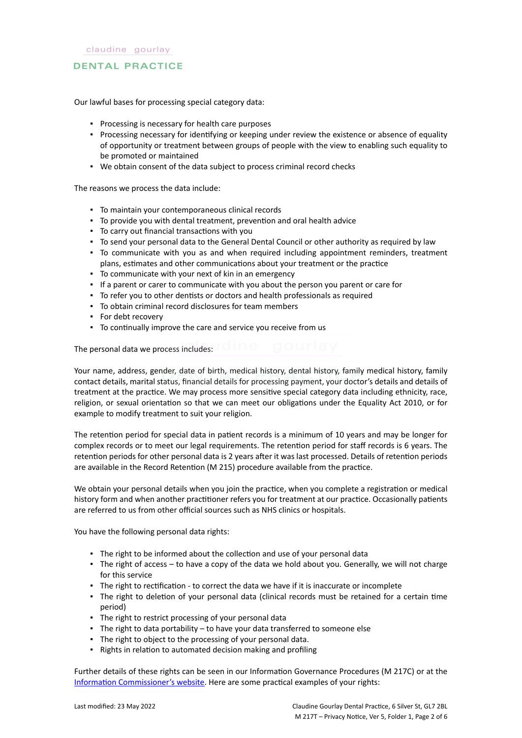# **DENTAL PRACTICE**

Our lawful bases for processing special category data:

- Processing is necessary for health care purposes
- Processing necessary for identifying or keeping under review the existence or absence of equality of opportunity or treatment between groups of people with the view to enabling such equality to be promoted or maintained
- We obtain consent of the data subject to process criminal record checks

The reasons we process the data include:

- To maintain your contemporaneous clinical records
- To provide you with dental treatment, prevention and oral health advice
- To carry out financial transactions with you
- To send your personal data to the General Dental Council or other authority as required by law
- To communicate with you as and when required including appointment reminders, treatment plans, estimates and other communications about your treatment or the practice
- To communicate with your next of kin in an emergency
- If a parent or carer to communicate with you about the person you parent or care for
- To refer you to other dentists or doctors and health professionals as required
- To obtain criminal record disclosures for team members
- For debt recovery
- To continually improve the care and service you receive from us

The personal data we process includes:

Your name, address, gender, date of birth, medical history, dental history, family medical history, family contact details, marital status, financial details for processing payment, your doctor's details and details of treatment at the practice. We may process more sensitive special category data including ethnicity, race, religion, or sexual orientation so that we can meet our obligations under the Equality Act 2010, or for example to modify treatment to suit your religion.

The retention period for special data in patient records is a minimum of 10 years and may be longer for complex records or to meet our legal requirements. The retention period for staff records is 6 years. The retention periods for other personal data is 2 years after it was last processed. Details of retention periods are available in the Record Retention (M 215) procedure available from the practice.

We obtain your personal details when you join the practice, when you complete a registration or medical history form and when another practitioner refers you for treatment at our practice. Occasionally patients are referred to us from other official sources such as NHS clinics or hospitals.

You have the following personal data rights:

- The right to be informed about the collection and use of your personal data
- The right of access to have a copy of the data we hold about you. Generally, we will not charge for this service
- The right to rectification to correct the data we have if it is inaccurate or incomplete
- The right to deletion of your personal data (clinical records must be retained for a certain time period)
- The right to restrict processing of your personal data
- **·** The right to data portability to have your data transferred to someone else
- The right to object to the processing of your personal data.
- Rights in relation to automated decision making and profiling

Further details of these rights can be seen in our Information Governance Procedures (M 217C) or at the [Information Commissioner's website](https://ico.org.uk/for-organisations/guide-to-the-general-data-protection-regulation-gdpr/individual-rights/). Here are some practical examples of your rights: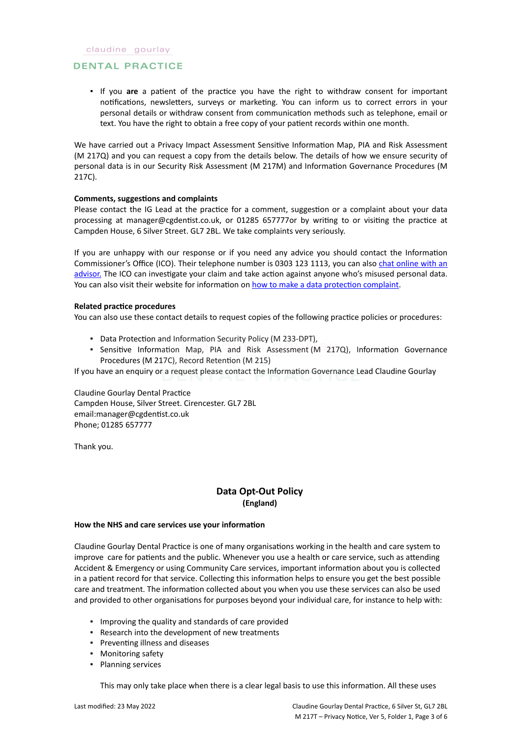# **DENTAL PRACTICE**

▪ If you **are** a patient of the practice you have the right to withdraw consent for important notifications, newsletters, surveys or marketing. You can inform us to correct errors in your personal details or withdraw consent from communication methods such as telephone, email or text. You have the right to obtain a free copy of your patient records within one month.

We have carried out a Privacy Impact Assessment Sensitive Information Map, PIA and Risk Assessment (M 217Q) and you can request a copy from the details below. The details of how we ensure security of personal data is in our Security Risk Assessment (M 217M) and Information Governance Procedures (M 217C).

### **Comments, suggestions and complaints**

Please contact the IG Lead at the practice for a comment, suggestion or a complaint about your data processing at manager@cgdentist.co.uk, or 01285 657777or by writing to or visiting the practice at Campden House, 6 Silver Street. GL7 2BL. We take complaints very seriously.

If you are unhappy with our response or if you need any advice you should contact the Information Commissioner's Office (ICO). Their telephone number is 0303 123 1113, you can also [chat online with an](https://ico.org.uk/global/contact-us/live-chat/) [advisor.](https://ico.org.uk/global/contact-us/live-chat/) The ICO can investigate your claim and take action against anyone who's misused personal data. You can also visit their website for information on [how to make a data protection complaint](http://www.ico.org.uk/complaints).

#### **Related practice procedures**

You can also use these contact details to request copies of the following practice policies or procedures:

- Data Protection and Information Security Policy (M 233-DPT),
- Sensitive Information Map, PIA and Risk Assessment (M 217Q), Information Governance Procedures (M 217C), Record Retention (M 215)

If you have an enquiry or a request please contact the Information Governance Lead Claudine Gourlay

Claudine Gourlay Dental Practice Campden House, Silver Street. Cirencester. GL7 2BL email:manager@cgdentist.co.uk Phone; 01285 657777

Thank you.

# **Data Opt-Out Policy (England)**

#### **How the NHS and care services use your information**

Claudine Gourlay Dental Practice is one of many organisations working in the health and care system to improve care for patients and the public. Whenever you use a health or care service, such as attending Accident & Emergency or using Community Care services, important information about you is collected in a patient record for that service. Collecting this information helps to ensure you get the best possible care and treatment. The information collected about you when you use these services can also be used and provided to other organisations for purposes beyond your individual care, for instance to help with:

- Improving the quality and standards of care provided
- Research into the development of new treatments
- Preventing illness and diseases
- Monitoring safety
- Planning services

This may only take place when there is a clear legal basis to use this information. All these uses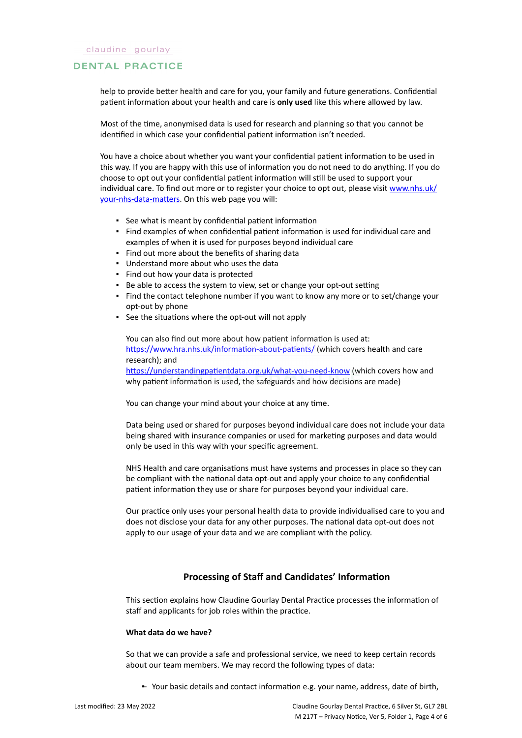#### **DENTAL PRACTICE**

help to provide better health and care for you, your family and future generations. Confidential patient information about your health and care is **only used** like this where allowed by law.

Most of the time, anonymised data is used for research and planning so that you cannot be identified in which case your confidential patient information isn't needed.

You have a choice about whether you want your confidential patient information to be used in this way. If you are happy with this use of information you do not need to do anything. If you do choose to opt out your confidential patient information will still be used to support your individual care. To find out more or to register your choice to opt out, please visit [www.nhs.uk/](http://www.nhs.uk/your-nhs-data-matters) [your-nhs-data-matters](http://www.nhs.uk/your-nhs-data-matters). On this web page you will:

- See what is meant by confidential patient information
- Find examples of when confidential patient information is used for individual care and examples of when it is used for purposes beyond individual care
- Find out more about the benefits of sharing data
- Understand more about who uses the data
- Find out how your data is protected
- Be able to access the system to view, set or change your opt-out setting
- Find the contact telephone number if you want to know any more or to set/change your opt-out by phone
- See the situations where the opt-out will not apply

You can also find out more about how patient information is used at: [https://www.hra.nhs.uk/information-about-patients/](https://www.hra.nhs.uk/information-about-patients/%20) (which covers health and care research); and <https://understandingpatientdata.org.uk/what-you-need-know> (which covers how and why patient information is used, the safeguards and how decisions are made)

You can change your mind about your choice at any time.

Data being used or shared for purposes beyond individual care does not include your data being shared with insurance companies or used for marketing purposes and data would only be used in this way with your specific agreement.

NHS Health and care organisations must have systems and processes in place so they can be compliant with the national data opt-out and apply your choice to any confidential patient information they use or share for purposes beyond your individual care.

Our practice only uses your personal health data to provide individualised care to you and does not disclose your data for any other purposes. The national data opt-out does not apply to our usage of your data and we are compliant with the policy.

# **Processing of Staff and Candidates' Information**

This section explains how Claudine Gourlay Dental Practice processes the information of staff and applicants for job roles within the practice.

#### **What data do we have?**

So that we can provide a safe and professional service, we need to keep certain records about our team members. We may record the following types of data:

▪ Your basic details and contact information e.g. your name, address, date of birth,–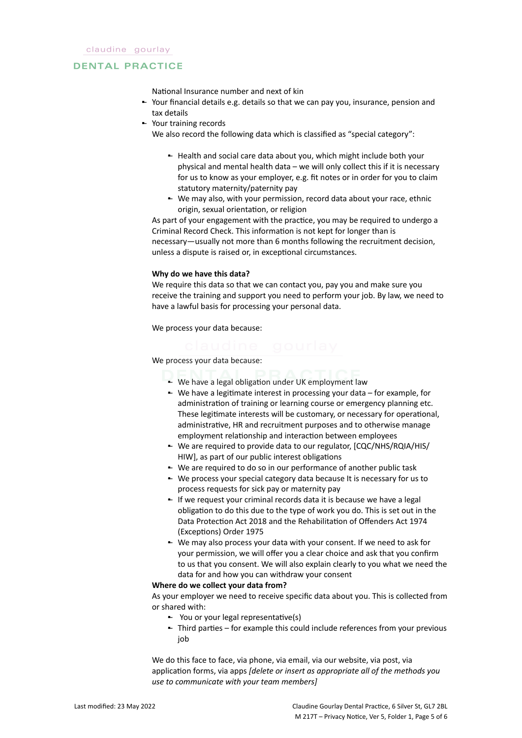### **DENTAL PRACTICE**

National Insurance number and next of kin

- Your financial details e.g. details so that we can pay you, insurance, pension and tax details
- Your training records –

We also record the following data which is classified as "special category":

- Health and social care data about you, which might include both your physical and mental health data – we will only collect this if it is necessary for us to know as your employer, e.g. fit notes or in order for you to claim statutory maternity/paternity pay
- We may also, with your permission, record data about your race, ethnic origin, sexual orientation, or religion

As part of your engagement with the practice, you may be required to undergo a Criminal Record Check. This information is not kept for longer than is necessary—usually not more than 6 months following the recruitment decision, unless a dispute is raised or, in exceptional circumstances.

### **Why do we have this data?**

We require this data so that we can contact you, pay you and make sure you receive the training and support you need to perform your job. By law, we need to have a lawful basis for processing your personal data.

We process your data because:

We process your data because:

- We have a legal obligation under UK employment law
- We have a legitimate interest in processing your data for example, for administration of training or learning course or emergency planning etc. These legitimate interests will be customary, or necessary for operational, administrative, HR and recruitment purposes and to otherwise manage employment relationship and interaction between employees
- We are required to provide data to our regulator, [CQC/NHS/RQIA/HIS/ HIW], as part of our public interest obligations
- We are required to do so in our performance of another public task
- We process your special category data because It is necessary for us to process requests for sick pay or maternity pay
- If we request your criminal records data it is because we have a legal obligation to do this due to the type of work you do. This is set out in the Data Protection Act 2018 and the Rehabilitation of Offenders Act 1974 (Exceptions) Order 1975
- We may also process your data with your consent. If we need to ask for your permission, we will offer you a clear choice and ask that you confirm to us that you consent. We will also explain clearly to you what we need the data for and how you can withdraw your consent

# **Where do we collect your data from?**

As your employer we need to receive specific data about you. This is collected from or shared with:

- You or your legal representative(s) –
- Third parties for example this could include references from your previous job

We do this face to face, via phone, via email, via our website, via post, via application forms, via apps *[delete or insert as appropriate all of the methods you use to communicate with your team members]*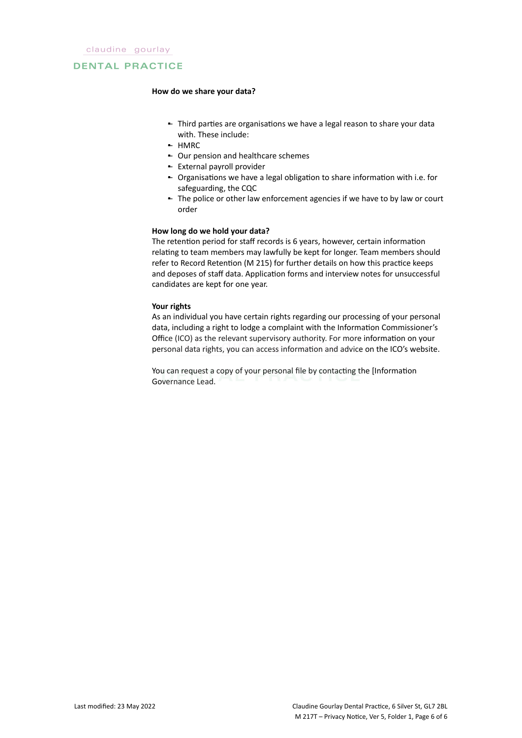### **DENTAL PRACTICE**

#### **How do we share your data?**

- Third parties are organisations we have a legal reason to share your data with. These include:
- HMRC –
- **-** Our pension and healthcare schemes
- External payroll provider –
- Organisations we have a legal obligation to share information with i.e. for safeguarding, the CQC
- The police or other law enforcement agencies if we have to by law or court order

### **How long do we hold your data?**

The retention period for staff records is 6 years, however, certain information relating to team members may lawfully be kept for longer. Team members should refer to Record Retention (M 215) for further details on how this practice keeps and deposes of staff data. Application forms and interview notes for unsuccessful candidates are kept for one year.

### **Your rights**

As an individual you have certain rights regarding our processing of your personal data, including a right to lodge a complaint with the Information Commissioner's Office (ICO) as the relevant supervisory authority. For more information on your personal data rights, you can access information and advice on the ICO's website.

You can request a copy of your personal file by contacting the [Information Governance Lead.